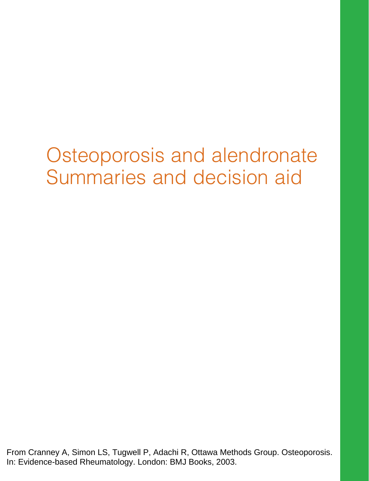# Osteoporosis and alendronate Summaries and decision aid

From Cranney A, Simon LS, Tugwell P, Adachi R, Ottawa Methods Group. Osteoporosis. In: Evidence-based Rheumatology. London: BMJ Books, 2003.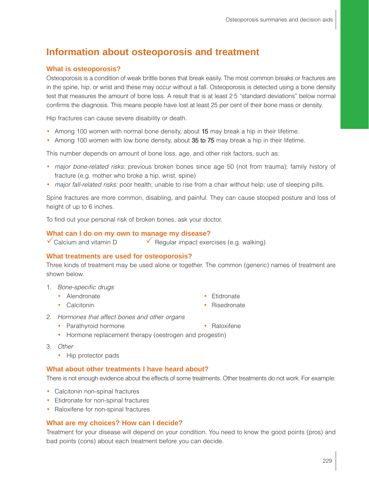# **Information about osteoporosis and treatment**

### **What is osteoporosis?**

Osteoporosis is a condition of weak brittle bones that break easily. The most common breaks or fractures are in the spine, hip, or wrist and these may occur without a fall. Osteoporosis is detected using a bone density test that measures the amount of bone loss. A result that is at least 2·5 "standard deviations" below normal confirms the diagnosis. This means people have lost at least 25 per cent of their bone mass or density.

Hip fractures can cause severe disability or death.

- Among 100 women with normal bone density, about 15 may break a hip in their lifetime.
- Among 100 women with low bone density, about 35 to 75 may break a hip in their lifetime.

This number depends on amount of bone loss, age, and other risk factors, such as:

- major bone-related risks: previous broken bones since age 50 (not from trauma); family history of fracture (e.g. mother who broke a hip, wrist, spine)
- major fall-related risks: poor health; unable to rise from a chair without help; use of sleeping pills.

Spine fractures are more common, disabling, and painful. They can cause stooped posture and loss of height of up to 6 inches.

To find out your personal risk of broken bones, ask your doctor.

#### **What can I do on my own to manage my disease?**

 $\checkmark$  Calcium and vitamin D  $\checkmark$  Regular impact exercises (e.g. walking)

#### **What treatments are used for osteoporosis?**

Three kinds of treatment may be used alone or together. The common (generic) names of treatment are shown below.

- 1. Bone-specific drugs
	- Alendronate Etidronate
	- Calcitonin Risedronate
- 
- 
- 2. Hormones that affect bones and other organs
	- Parathyroid hormone Raloxifene
	- Hormone replacement therapy (oestrogen and progestin)
- 3. Other
	- Hip protector pads

### **What about other treatments I have heard about?**

There is not enough evidence about the effects of some treatments. Other treatments do not work. For example:

- Calcitonin non-spinal fractures
- Etidronate for non-spinal fractures
- Raloxifene for non-spinal fractures

#### **What are my choices? How can I decide?**

Treatment for your disease will depend on your condition. You need to know the good points (pros) and bad points (cons) about each treatment before you can decide.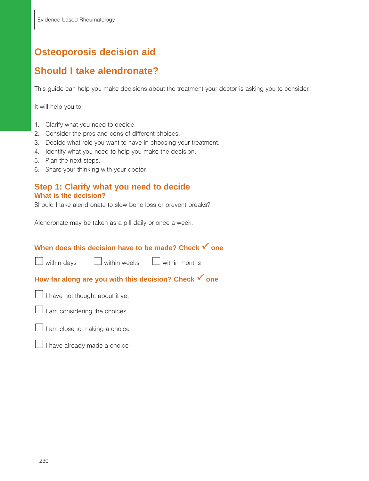# **Osteoporosis decision aid**

# **Should I take alendronate?**

This guide can help you make decisions about the treatment your doctor is asking you to consider.

It will help you to:

- 1. Clarify what you need to decide.
- 2. Consider the pros and cons of different choices.
- 3. Decide what role you want to have in choosing your treatment.
- 4. Identify what you need to help you make the decision.
- 5. Plan the next steps.
- 6. Share your thinking with your doctor.

## **Step 1: Clarify what you need to decide What is the decision?**

Should I take alendronate to slow bone loss or prevent breaks?

Alendronate may be taken as a pill daily or once a week.

## **When does this decision have to be made? Check √ one**

| l within days |
|---------------|
|---------------|

within weeks within months

# How far along are you with this decision? Check **√** one

 $\Box$  I have not thought about it yet



 $\Box$  I am close to making a choice

I have already made a choice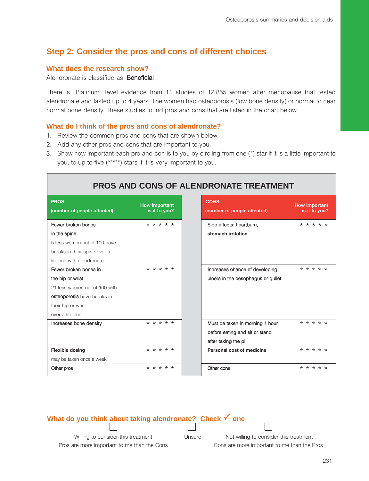## **Step 2: Consider the pros and cons of different choices**

#### **What does the research show?**

Alendronate is classified as: Beneficial

There is "Platinum" level evidence from 11 studies of 12 855 women after menopause that tested alendronate and lasted up to 4 years. The women had osteoporosis (low bone density) or normal to near normal bone density. These studies found pros and cons that are listed in the chart below.

## **What do I think of the pros and cons of alendronate?**

- 1. Review the common pros and cons that are shown below.
- 2. Add any other pros and cons that are important to you.
- 3. Show how important each pro and con is to you by circling from one (\*) star if it is a little important to you, to up to five (\*\*\*\*\*) stars if it is very important to you.

| <b>PROS AND CONS OF ALENDRONATE TREATMENT</b>                |                                       |  |  |  |
|--------------------------------------------------------------|---------------------------------------|--|--|--|
| <b>PROS</b><br>(number of people affected)                   | <b>How important</b><br>is it to you? |  |  |  |
| Fewer broken bones<br>in the spine                           | * * * * *                             |  |  |  |
| 5 less women out of 100 have<br>breaks in their spine over a |                                       |  |  |  |
| lifetime with alendronate<br>Fewer broken bones in           | * * * * *                             |  |  |  |
| the hip or wrist                                             |                                       |  |  |  |
| 21 less women out of 100 with<br>osteoporosis have breaks in |                                       |  |  |  |
| their hip or wrist                                           |                                       |  |  |  |
| over a lifetime<br>Increases bone density                    | * * * * *                             |  |  |  |
|                                                              |                                       |  |  |  |
| <b>Flexible dosing</b>                                       | * * * * *                             |  |  |  |
| may be taken once a week                                     |                                       |  |  |  |
| Other pros                                                   | * * * * *                             |  |  |  |

## **What do you think about taking alendronate? Check 
<b>√** one

Willing to consider this treatment Unsure Not willing to consider this treatment

Pros are more important to me than the Cons Cons are more important to me than the Pros